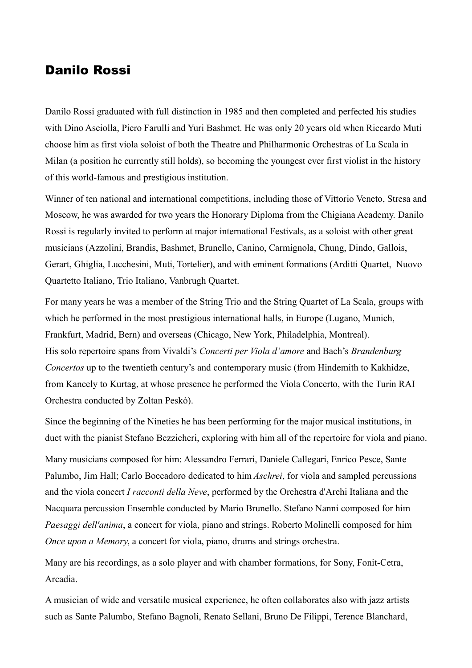## Danilo Rossi

Danilo Rossi graduated with full distinction in 1985 and then completed and perfected his studies with Dino Asciolla, Piero Farulli and Yuri Bashmet. He was only 20 years old when Riccardo Muti choose him as first viola soloist of both the Theatre and Philharmonic Orchestras of La Scala in Milan (a position he currently still holds), so becoming the youngest ever first violist in the history of this world-famous and prestigious institution.

Winner of ten national and international competitions, including those of Vittorio Veneto, Stresa and Moscow, he was awarded for two years the Honorary Diploma from the Chigiana Academy. Danilo Rossi is regularly invited to perform at major international Festivals, as a soloist with other great musicians (Azzolini, Brandis, Bashmet, Brunello, Canino, Carmignola, Chung, Dindo, Gallois, Gerart, Ghiglia, Lucchesini, Muti, Tortelier), and with eminent formations (Arditti Quartet, Nuovo Quartetto Italiano, Trio Italiano, Vanbrugh Quartet.

For many years he was a member of the String Trio and the String Quartet of La Scala, groups with which he performed in the most prestigious international halls, in Europe (Lugano, Munich, Frankfurt, Madrid, Bern) and overseas (Chicago, New York, Philadelphia, Montreal). His solo repertoire spans from Vivaldi's *Concerti per Viola d'amore* and Bach's *Brandenburg Concertos* up to the twentieth century's and contemporary music (from Hindemith to Kakhidze, from Kancely to Kurtag, at whose presence he performed the Viola Concerto, with the Turin RAI Orchestra conducted by Zoltan Peskò).

Since the beginning of the Nineties he has been performing for the major musical institutions, in duet with the pianist Stefano Bezzicheri, exploring with him all of the repertoire for viola and piano.

Many musicians composed for him: Alessandro Ferrari, Daniele Callegari, Enrico Pesce, Sante Palumbo, Jim Hall; Carlo Boccadoro dedicated to him *Aschrei*, for viola and sampled percussions and the viola concert *I racconti della Neve*, performed by the Orchestra d'Archi Italiana and the Nacquara percussion Ensemble conducted by Mario Brunello. Stefano Nanni composed for him *Paesaggi dell'anima*, a concert for viola, piano and strings. Roberto Molinelli composed for him *Once upon a Memory*, a concert for viola, piano, drums and strings orchestra.

Many are his recordings, as a solo player and with chamber formations, for Sony, Fonit-Cetra, Arcadia.

A musician of wide and versatile musical experience, he often collaborates also with jazz artists such as Sante Palumbo, Stefano Bagnoli, Renato Sellani, Bruno De Filippi, Terence Blanchard,